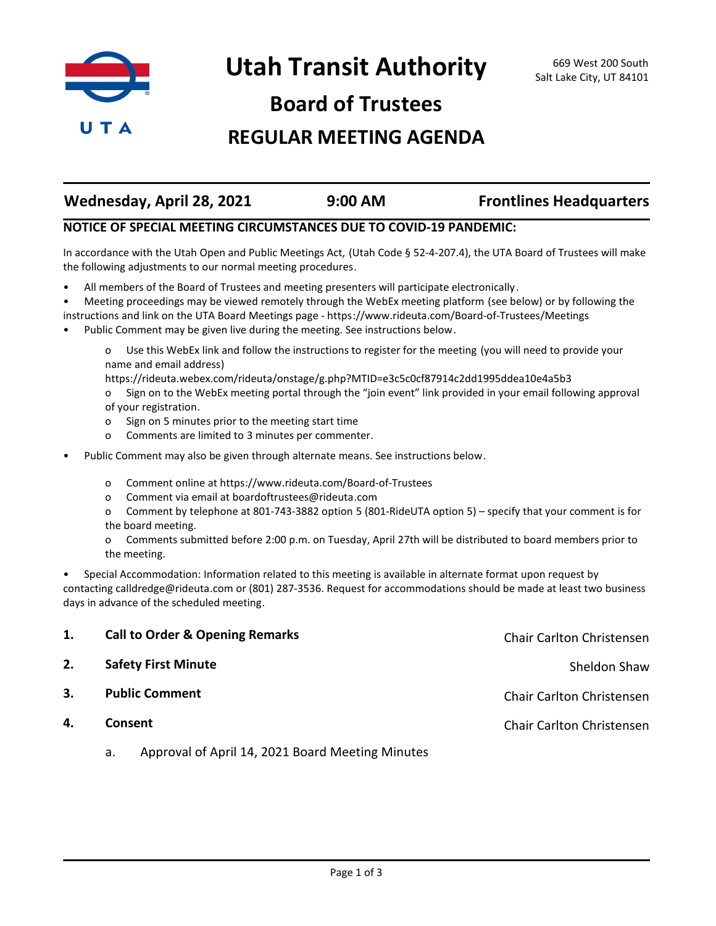

**Board of Trustees**

## **REGULAR MEETING AGENDA**

| Wednesday, April 28, 2021 | $9:00$ AM | <b>Frontlines Headquarters</b> |
|---------------------------|-----------|--------------------------------|

## **NOTICE OF SPECIAL MEETING CIRCUMSTANCES DUE TO COVID-19 PANDEMIC:**

In accordance with the Utah Open and Public Meetings Act, (Utah Code § 52-4-207.4), the UTA Board of Trustees will make the following adjustments to our normal meeting procedures.

• All members of the Board of Trustees and meeting presenters will participate electronically.

• Meeting proceedings may be viewed remotely through the WebEx meeting platform (see below) or by following the instructions and link on the UTA Board Meetings page - https://www.rideuta.com/Board-of-Trustees/Meetings

• Public Comment may be given live during the meeting. See instructions below.

o Use this WebEx link and follow the instructions to register for the meeting (you will need to provide your name and email address)

https://rideuta.webex.com/rideuta/onstage/g.php?MTID=e3c5c0cf87914c2dd1995ddea10e4a5b3

o Sign on to the WebEx meeting portal through the "join event" link provided in your email following approval of your registration.

- o Sign on 5 minutes prior to the meeting start time
- o Comments are limited to 3 minutes per commenter.
- Public Comment may also be given through alternate means. See instructions below.
	- o Comment online at https://www.rideuta.com/Board-of-Trustees
	- o Comment via email at boardoftrustees@rideuta.com

o Comment by telephone at 801-743-3882 option 5 (801-RideUTA option 5) – specify that your comment is for the board meeting.

o Comments submitted before 2:00 p.m. on Tuesday, April 27th will be distributed to board members prior to the meeting.

• Special Accommodation: Information related to this meeting is available in alternate format upon request by contacting calldredge@rideuta.com or (801) 287-3536. Request for accommodations should be made at least two business days in advance of the scheduled meeting.

| 1. | <b>Call to Order &amp; Opening Remarks</b> | Chair Carlton Christensen |
|----|--------------------------------------------|---------------------------|
| 2. | <b>Safety First Minute</b>                 | Sheldon Shaw              |
| 3. | <b>Public Comment</b>                      | Chair Carlton Christensen |
| 4. | Consent                                    | Chair Carlton Christensen |
|    |                                            |                           |

a. Approval of April 14, 2021 Board Meeting Minutes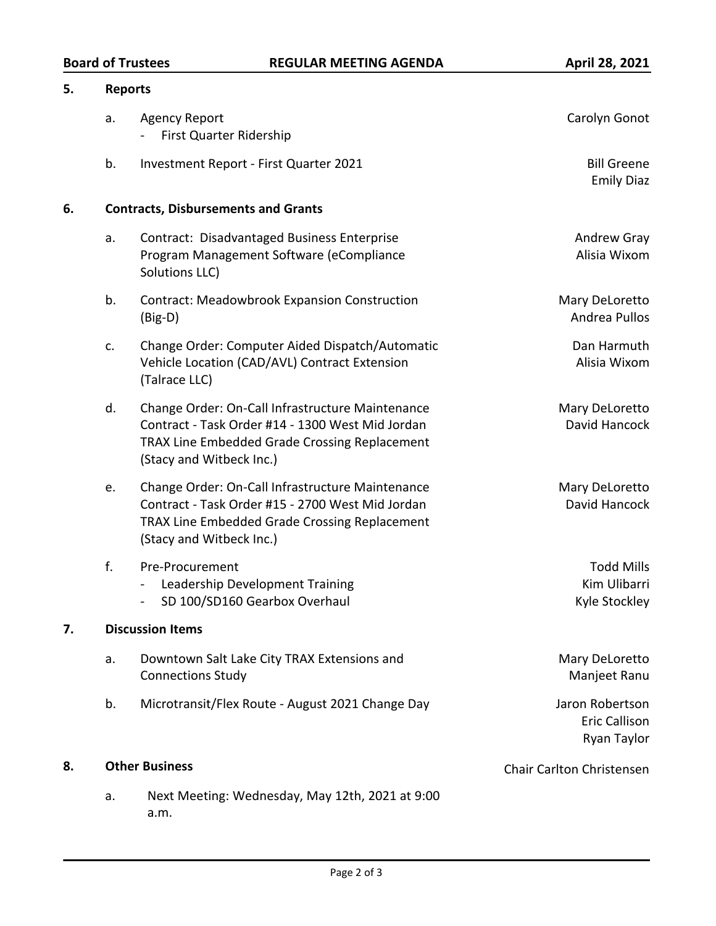| 5. |                       | <b>Reports</b>                                                                                                                                                                    |                                                        |  |  |
|----|-----------------------|-----------------------------------------------------------------------------------------------------------------------------------------------------------------------------------|--------------------------------------------------------|--|--|
|    | a.                    | <b>Agency Report</b><br>First Quarter Ridership                                                                                                                                   | Carolyn Gonot                                          |  |  |
|    | b.                    | Investment Report - First Quarter 2021                                                                                                                                            | <b>Bill Greene</b><br><b>Emily Diaz</b>                |  |  |
| 6. |                       | <b>Contracts, Disbursements and Grants</b>                                                                                                                                        |                                                        |  |  |
|    | a.                    | Contract: Disadvantaged Business Enterprise<br>Program Management Software (eCompliance<br>Solutions LLC)                                                                         | Andrew Gray<br>Alisia Wixom                            |  |  |
|    | b.                    | <b>Contract: Meadowbrook Expansion Construction</b><br>$(Big-D)$                                                                                                                  | Mary DeLoretto<br>Andrea Pullos                        |  |  |
|    | c.                    | Change Order: Computer Aided Dispatch/Automatic<br>Vehicle Location (CAD/AVL) Contract Extension<br>(Talrace LLC)                                                                 | Dan Harmuth<br>Alisia Wixom                            |  |  |
|    | d.                    | Change Order: On-Call Infrastructure Maintenance<br>Contract - Task Order #14 - 1300 West Mid Jordan<br>TRAX Line Embedded Grade Crossing Replacement<br>(Stacy and Witbeck Inc.) | Mary DeLoretto<br>David Hancock                        |  |  |
|    | e.                    | Change Order: On-Call Infrastructure Maintenance<br>Contract - Task Order #15 - 2700 West Mid Jordan<br>TRAX Line Embedded Grade Crossing Replacement<br>(Stacy and Witbeck Inc.) | Mary DeLoretto<br>David Hancock                        |  |  |
|    | f.                    | Pre-Procurement<br>Leadership Development Training<br>SD 100/SD160 Gearbox Overhaul                                                                                               | <b>Todd Mills</b><br>Kim Ulibarri<br>Kyle Stockley     |  |  |
| 7. |                       | <b>Discussion Items</b>                                                                                                                                                           |                                                        |  |  |
|    | a.                    | Downtown Salt Lake City TRAX Extensions and<br><b>Connections Study</b>                                                                                                           | Mary DeLoretto<br>Manjeet Ranu                         |  |  |
|    | b.                    | Microtransit/Flex Route - August 2021 Change Day                                                                                                                                  | Jaron Robertson<br><b>Eric Callison</b><br>Ryan Taylor |  |  |
| 8. | <b>Other Business</b> |                                                                                                                                                                                   | Chair Carlton Christensen                              |  |  |
|    | a.                    | Next Meeting: Wednesday, May 12th, 2021 at 9:00<br>a.m.                                                                                                                           |                                                        |  |  |